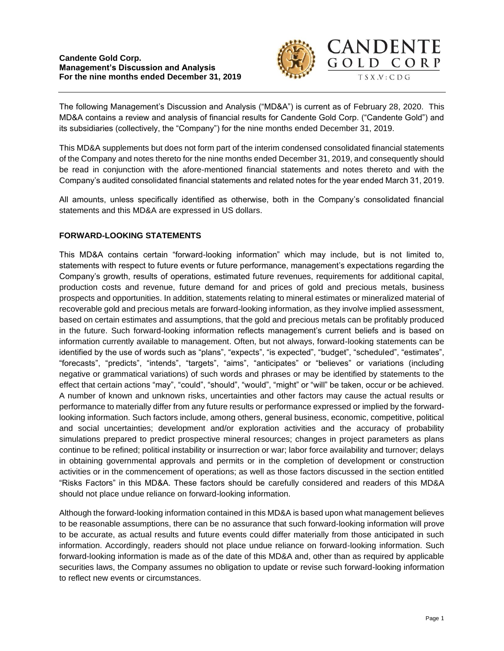

The following Management's Discussion and Analysis ("MD&A") is current as of February 28, 2020. This MD&A contains a review and analysis of financial results for Candente Gold Corp. ("Candente Gold") and its subsidiaries (collectively, the "Company") for the nine months ended December 31, 2019.

This MD&A supplements but does not form part of the interim condensed consolidated financial statements of the Company and notes thereto for the nine months ended December 31, 2019, and consequently should be read in conjunction with the afore-mentioned financial statements and notes thereto and with the Company's audited consolidated financial statements and related notes for the year ended March 31, 2019.

All amounts, unless specifically identified as otherwise, both in the Company's consolidated financial statements and this MD&A are expressed in US dollars.

# **FORWARD-LOOKING STATEMENTS**

This MD&A contains certain "forward-looking information" which may include, but is not limited to, statements with respect to future events or future performance, management's expectations regarding the Company's growth, results of operations, estimated future revenues, requirements for additional capital, production costs and revenue, future demand for and prices of gold and precious metals, business prospects and opportunities. In addition, statements relating to mineral estimates or mineralized material of recoverable gold and precious metals are forward-looking information, as they involve implied assessment, based on certain estimates and assumptions, that the gold and precious metals can be profitably produced in the future. Such forward-looking information reflects management's current beliefs and is based on information currently available to management. Often, but not always, forward-looking statements can be identified by the use of words such as "plans", "expects", "is expected", "budget", "scheduled", "estimates", "forecasts", "predicts", "intends", "targets", "aims", "anticipates" or "believes" or variations (including negative or grammatical variations) of such words and phrases or may be identified by statements to the effect that certain actions "may", "could", "should", "would", "might" or "will" be taken, occur or be achieved. A number of known and unknown risks, uncertainties and other factors may cause the actual results or performance to materially differ from any future results or performance expressed or implied by the forwardlooking information. Such factors include, among others, general business, economic, competitive, political and social uncertainties; development and/or exploration activities and the accuracy of probability simulations prepared to predict prospective mineral resources; changes in project parameters as plans continue to be refined; political instability or insurrection or war; labor force availability and turnover; delays in obtaining governmental approvals and permits or in the completion of development or construction activities or in the commencement of operations; as well as those factors discussed in the section entitled "Risks Factors" in this MD&A. These factors should be carefully considered and readers of this MD&A should not place undue reliance on forward-looking information.

Although the forward-looking information contained in this MD&A is based upon what management believes to be reasonable assumptions, there can be no assurance that such forward-looking information will prove to be accurate, as actual results and future events could differ materially from those anticipated in such information. Accordingly, readers should not place undue reliance on forward-looking information. Such forward-looking information is made as of the date of this MD&A and, other than as required by applicable securities laws, the Company assumes no obligation to update or revise such forward-looking information to reflect new events or circumstances.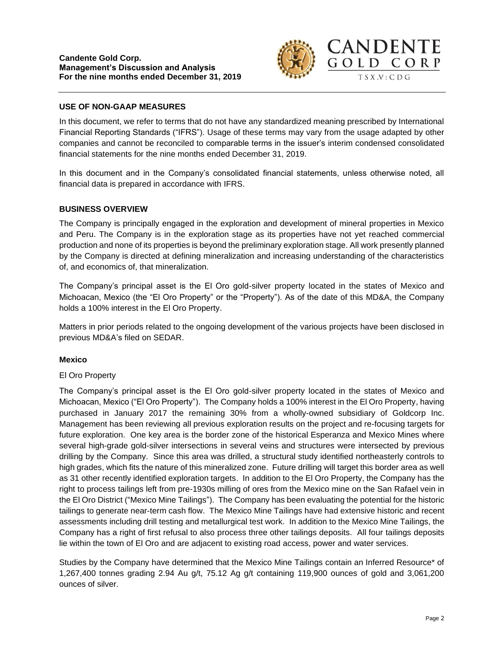

## **USE OF NON-GAAP MEASURES**

In this document, we refer to terms that do not have any standardized meaning prescribed by International Financial Reporting Standards ("IFRS"). Usage of these terms may vary from the usage adapted by other companies and cannot be reconciled to comparable terms in the issuer's interim condensed consolidated financial statements for the nine months ended December 31, 2019.

In this document and in the Company's consolidated financial statements, unless otherwise noted, all financial data is prepared in accordance with IFRS.

### **BUSINESS OVERVIEW**

The Company is principally engaged in the exploration and development of mineral properties in Mexico and Peru. The Company is in the exploration stage as its properties have not yet reached commercial production and none of its properties is beyond the preliminary exploration stage. All work presently planned by the Company is directed at defining mineralization and increasing understanding of the characteristics of, and economics of, that mineralization.

The Company's principal asset is the El Oro gold-silver property located in the states of Mexico and Michoacan, Mexico (the "El Oro Property" or the "Property"). As of the date of this MD&A, the Company holds a 100% interest in the El Oro Property.

Matters in prior periods related to the ongoing development of the various projects have been disclosed in previous MD&A's filed on SEDAR.

### **Mexico**

### El Oro Property

The Company's principal asset is the El Oro gold-silver property located in the states of Mexico and Michoacan, Mexico ("El Oro Property"). The Company holds a 100% interest in the El Oro Property, having purchased in January 2017 the remaining 30% from a wholly-owned subsidiary of Goldcorp Inc. Management has been reviewing all previous exploration results on the project and re-focusing targets for future exploration. One key area is the border zone of the historical Esperanza and Mexico Mines where several high-grade gold-silver intersections in several veins and structures were intersected by previous drilling by the Company. Since this area was drilled, a structural study identified northeasterly controls to high grades, which fits the nature of this mineralized zone. Future drilling will target this border area as well as 31 other recently identified exploration targets. In addition to the El Oro Property, the Company has the right to process tailings left from pre-1930s milling of ores from the Mexico mine on the San Rafael vein in the El Oro District ("Mexico Mine Tailings"). The Company has been evaluating the potential for the historic tailings to generate near-term cash flow. The Mexico Mine Tailings have had extensive historic and recent assessments including drill testing and metallurgical test work. In addition to the Mexico Mine Tailings, the Company has a right of first refusal to also process three other tailings deposits. All four tailings deposits lie within the town of El Oro and are adjacent to existing road access, power and water services.

Studies by the Company have determined that the Mexico Mine Tailings contain an Inferred Resource\* of 1,267,400 tonnes grading 2.94 Au g/t, 75.12 Ag g/t containing 119,900 ounces of gold and 3,061,200 ounces of silver.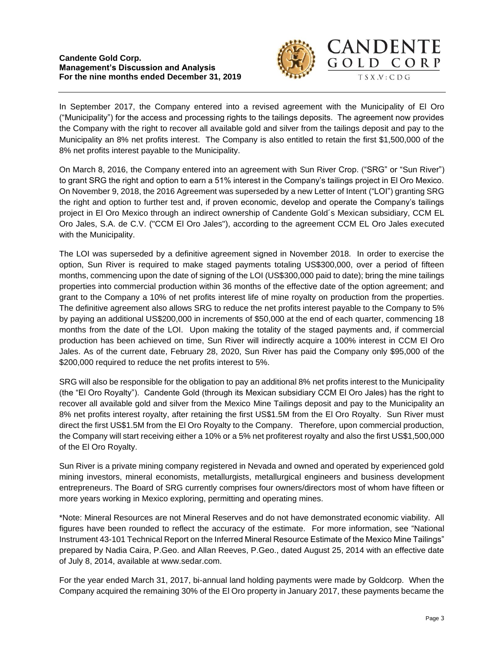#### **Candente Gold Corp. Management's Discussion and Analysis For the nine months ended December 31, 2019**



In September 2017, the Company entered into a revised agreement with the Municipality of El Oro ("Municipality") for the access and processing rights to the tailings deposits. The agreement now provides the Company with the right to recover all available gold and silver from the tailings deposit and pay to the Municipality an 8% net profits interest. The Company is also entitled to retain the first \$1,500,000 of the 8% net profits interest payable to the Municipality.

On March 8, 2016, the Company entered into an agreement with Sun River Crop. ("SRG" or "Sun River") to grant SRG the right and option to earn a 51% interest in the Company's tailings project in El Oro Mexico. On November 9, 2018, the 2016 Agreement was superseded by a new Letter of Intent ("LOI") granting SRG the right and option to further test and, if proven economic, develop and operate the Company's tailings project in El Oro Mexico through an indirect ownership of Candente Gold´s Mexican subsidiary, CCM EL Oro Jales, S.A. de C.V. ("CCM El Oro Jales"), according to the agreement CCM EL Oro Jales executed with the Municipality.

The LOI was superseded by a definitive agreement signed in November 2018. In order to exercise the option, Sun River is required to make staged payments totaling US\$300,000, over a period of fifteen months, commencing upon the date of signing of the LOI (US\$300,000 paid to date); bring the mine tailings properties into commercial production within 36 months of the effective date of the option agreement; and grant to the Company a 10% of net profits interest life of mine royalty on production from the properties. The definitive agreement also allows SRG to reduce the net profits interest payable to the Company to 5% by paying an additional US\$200,000 in increments of \$50,000 at the end of each quarter, commencing 18 months from the date of the LOI. Upon making the totality of the staged payments and, if commercial production has been achieved on time, Sun River will indirectly acquire a 100% interest in CCM El Oro Jales. As of the current date, February 28, 2020, Sun River has paid the Company only \$95,000 of the \$200,000 required to reduce the net profits interest to 5%.

SRG will also be responsible for the obligation to pay an additional 8% net profits interest to the Municipality (the "El Oro Royalty"). Candente Gold (through its Mexican subsidiary CCM El Oro Jales) has the right to recover all available gold and silver from the Mexico Mine Tailings deposit and pay to the Municipality an 8% net profits interest royalty, after retaining the first US\$1.5M from the El Oro Royalty. Sun River must direct the first US\$1.5M from the El Oro Royalty to the Company. Therefore, upon commercial production, the Company will start receiving either a 10% or a 5% net profiterest royalty and also the first US\$1,500,000 of the El Oro Royalty.

Sun River is a private mining company registered in Nevada and owned and operated by experienced gold mining investors, mineral economists, metallurgists, metallurgical engineers and business development entrepreneurs. The Board of SRG currently comprises four owners/directors most of whom have fifteen or more years working in Mexico exploring, permitting and operating mines.

\*Note: Mineral Resources are not Mineral Reserves and do not have demonstrated economic viability. All figures have been rounded to reflect the accuracy of the estimate. For more information, see "National Instrument 43-101 Technical Report on the Inferred Mineral Resource Estimate of the Mexico Mine Tailings" prepared by Nadia Caira, P.Geo. and Allan Reeves, P.Geo., dated August 25, 2014 with an effective date of July 8, 2014, available at www.sedar.com.

For the year ended March 31, 2017, bi-annual land holding payments were made by Goldcorp. When the Company acquired the remaining 30% of the El Oro property in January 2017, these payments became the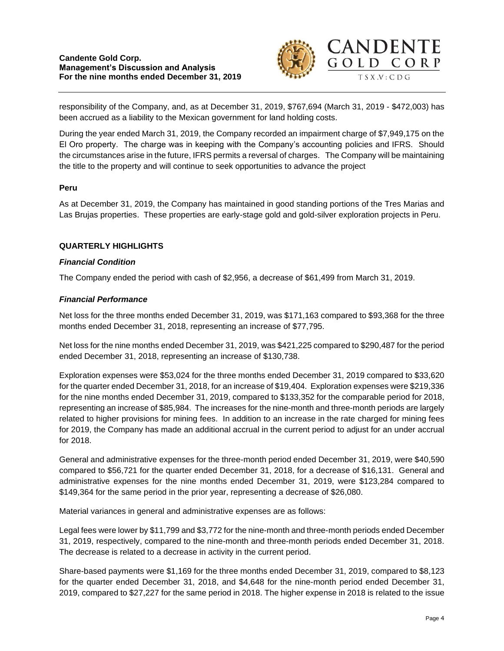

responsibility of the Company, and, as at December 31, 2019, \$767,694 (March 31, 2019 - \$472,003) has been accrued as a liability to the Mexican government for land holding costs.

During the year ended March 31, 2019, the Company recorded an impairment charge of \$7,949,175 on the El Oro property. The charge was in keeping with the Company's accounting policies and IFRS. Should the circumstances arise in the future, IFRS permits a reversal of charges. The Company will be maintaining the title to the property and will continue to seek opportunities to advance the project

## **Peru**

As at December 31, 2019, the Company has maintained in good standing portions of the Tres Marias and Las Brujas properties. These properties are early-stage gold and gold-silver exploration projects in Peru.

## **QUARTERLY HIGHLIGHTS**

### *Financial Condition*

The Company ended the period with cash of \$2,956, a decrease of \$61,499 from March 31, 2019.

## *Financial Performance*

Net loss for the three months ended December 31, 2019, was \$171,163 compared to \$93,368 for the three months ended December 31, 2018, representing an increase of \$77,795.

Net loss for the nine months ended December 31, 2019, was \$421,225 compared to \$290,487 for the period ended December 31, 2018, representing an increase of \$130,738.

Exploration expenses were \$53,024 for the three months ended December 31, 2019 compared to \$33,620 for the quarter ended December 31, 2018, for an increase of \$19,404. Exploration expenses were \$219,336 for the nine months ended December 31, 2019, compared to \$133,352 for the comparable period for 2018, representing an increase of \$85,984. The increases for the nine-month and three-month periods are largely related to higher provisions for mining fees. In addition to an increase in the rate charged for mining fees for 2019, the Company has made an additional accrual in the current period to adjust for an under accrual for 2018.

General and administrative expenses for the three-month period ended December 31, 2019, were \$40,590 compared to \$56,721 for the quarter ended December 31, 2018, for a decrease of \$16,131. General and administrative expenses for the nine months ended December 31, 2019, were \$123,284 compared to \$149,364 for the same period in the prior year, representing a decrease of \$26,080.

Material variances in general and administrative expenses are as follows:

Legal fees were lower by \$11,799 and \$3,772 for the nine-month and three-month periods ended December 31, 2019, respectively, compared to the nine-month and three-month periods ended December 31, 2018. The decrease is related to a decrease in activity in the current period.

Share-based payments were \$1,169 for the three months ended December 31, 2019, compared to \$8,123 for the quarter ended December 31, 2018, and \$4,648 for the nine-month period ended December 31, 2019, compared to \$27,227 for the same period in 2018. The higher expense in 2018 is related to the issue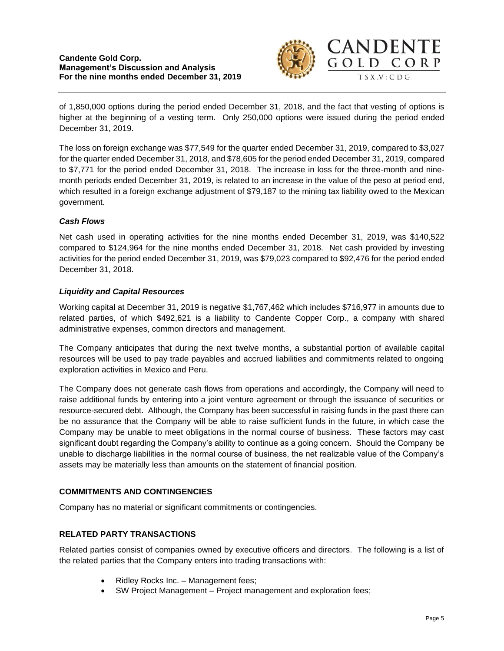

of 1,850,000 options during the period ended December 31, 2018, and the fact that vesting of options is higher at the beginning of a vesting term. Only 250,000 options were issued during the period ended December 31, 2019.

The loss on foreign exchange was \$77,549 for the quarter ended December 31, 2019, compared to \$3,027 for the quarter ended December 31, 2018, and \$78,605 for the period ended December 31, 2019, compared to \$7,771 for the period ended December 31, 2018. The increase in loss for the three-month and ninemonth periods ended December 31, 2019, is related to an increase in the value of the peso at period end, which resulted in a foreign exchange adjustment of \$79,187 to the mining tax liability owed to the Mexican government.

# *Cash Flows*

Net cash used in operating activities for the nine months ended December 31, 2019, was \$140,522 compared to \$124,964 for the nine months ended December 31, 2018. Net cash provided by investing activities for the period ended December 31, 2019, was \$79,023 compared to \$92,476 for the period ended December 31, 2018.

# *Liquidity and Capital Resources*

Working capital at December 31, 2019 is negative \$1,767,462 which includes \$716,977 in amounts due to related parties, of which \$492,621 is a liability to Candente Copper Corp., a company with shared administrative expenses, common directors and management.

The Company anticipates that during the next twelve months, a substantial portion of available capital resources will be used to pay trade payables and accrued liabilities and commitments related to ongoing exploration activities in Mexico and Peru.

The Company does not generate cash flows from operations and accordingly, the Company will need to raise additional funds by entering into a joint venture agreement or through the issuance of securities or resource-secured debt. Although, the Company has been successful in raising funds in the past there can be no assurance that the Company will be able to raise sufficient funds in the future, in which case the Company may be unable to meet obligations in the normal course of business. These factors may cast significant doubt regarding the Company's ability to continue as a going concern. Should the Company be unable to discharge liabilities in the normal course of business, the net realizable value of the Company's assets may be materially less than amounts on the statement of financial position.

# **COMMITMENTS AND CONTINGENCIES**

Company has no material or significant commitments or contingencies.

# **RELATED PARTY TRANSACTIONS**

Related parties consist of companies owned by executive officers and directors. The following is a list of the related parties that the Company enters into trading transactions with:

- Ridley Rocks Inc. Management fees;
- SW Project Management Project management and exploration fees;